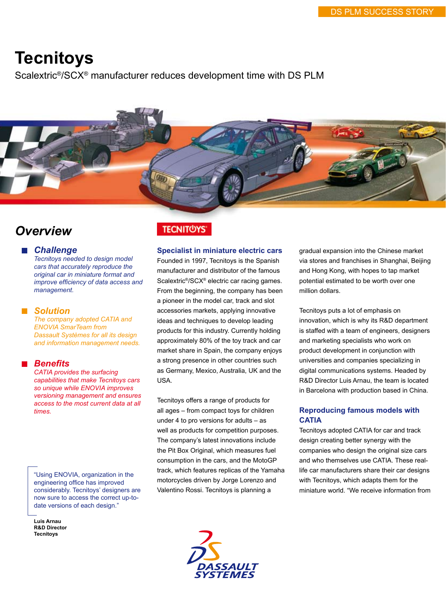# **Tecnitoys**

Scalextric®/SCX® manufacturer reduces development time with DS PLM

## *Overview*

*Challenge*

*Tecnitoys needed to design model cars that accurately reproduce the original car in miniature format and improve efficiency of data access and management.*

### *Solution*

*The company adopted CATIA and ENOVIA SmarTeam from Dassault Systèmes for all its design and information management needs.*

## *Benefits*

*CATIA provides the surfacing capabilities that make Tecnitoys cars so unique while ENOVIA improves versioning management and ensures access to the most current data at all times.*

"Using ENOVIA, organization in the engineering office has improved considerably. Tecnitoys' designers are now sure to access the correct up-todate versions of each design."

**Luis Arnau R&D Director Tecnitoys**

## **TECNIT<sup>OYS</sup>**

### **Specialist in miniature electric cars**

Founded in 1997, Tecnitoys is the Spanish manufacturer and distributor of the famous Scalextric®/SCX® electric car racing games. From the beginning, the company has been a pioneer in the model car, track and slot accessories markets, applying innovative ideas and techniques to develop leading products for this industry. Currently holding approximately 80% of the toy track and car market share in Spain, the company enjoys a strong presence in other countries such as Germany, Mexico, Australia, UK and the USA.

Tecnitoys offers a range of products for all ages – from compact toys for children under 4 to pro versions for adults – as well as products for competition purposes. The company's latest innovations include the Pit Box Original, which measures fuel consumption in the cars, and the MotoGP track, which features replicas of the Yamaha motorcycles driven by Jorge Lorenzo and Valentino Rossi. Tecnitoys is planning a



gradual expansion into the Chinese market via stores and franchises in Shanghai, Beijing and Hong Kong, with hopes to tap market potential estimated to be worth over one million dollars.

Tecnitoys puts a lot of emphasis on innovation, which is why its R&D department is staffed with a team of engineers, designers and marketing specialists who work on product development in conjunction with universities and companies specializing in digital communications systems. Headed by R&D Director Luis Arnau, the team is located in Barcelona with production based in China.

## **Reproducing famous models with CATIA**

Tecnitoys adopted CATIA for car and track design creating better synergy with the companies who design the original size cars and who themselves use CATIA. These reallife car manufacturers share their car designs with Tecnitoys, which adapts them for the miniature world. "We receive information from